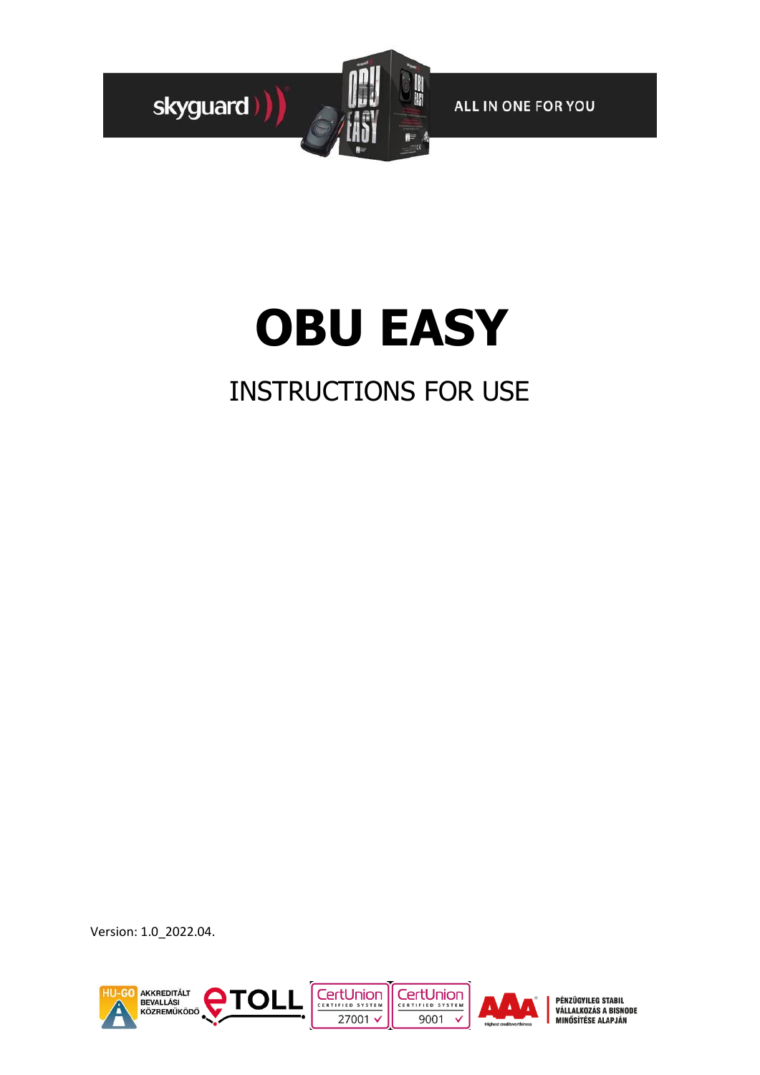

# **OBU EASY**

# INSTRUCTIONS FOR USE

Version: 1.0\_2022.04.

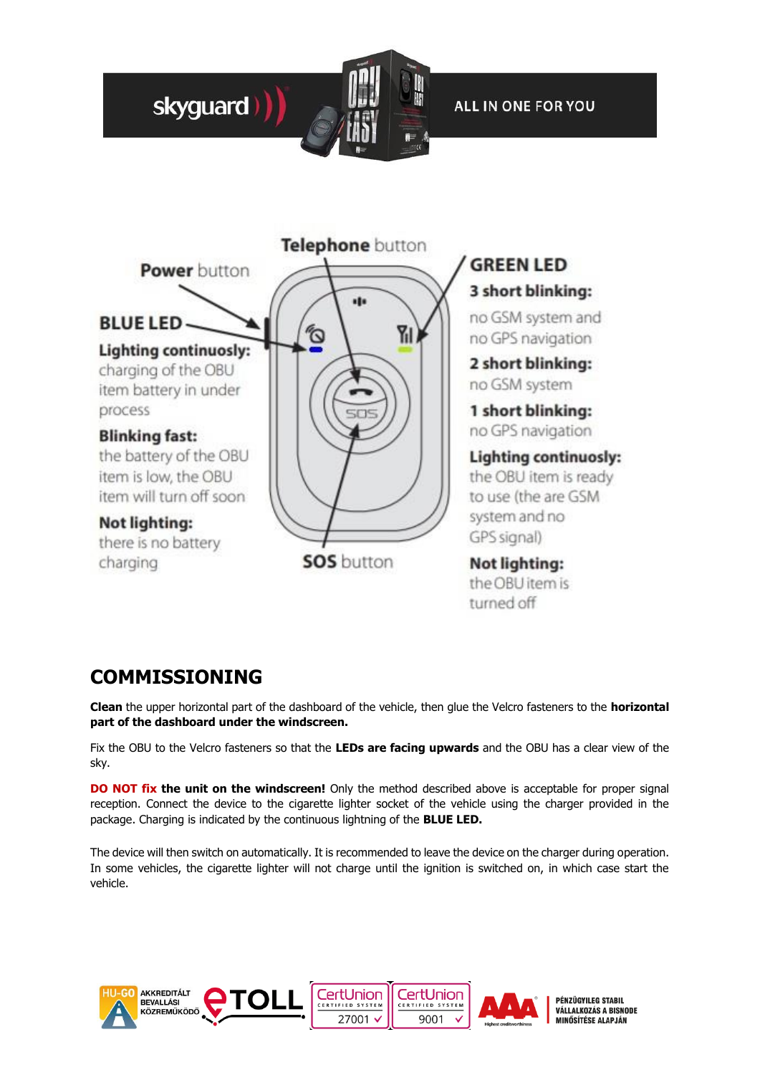



## **COMMISSIONING**

**Clean** the upper horizontal part of the dashboard of the vehicle, then glue the Velcro fasteners to the **horizontal part of the dashboard under the windscreen.** 

Fix the OBU to the Velcro fasteners so that the **LEDs are facing upwards** and the OBU has a clear view of the sky.

**DO NOT fix the unit on the windscreen!** Only the method described above is acceptable for proper signal reception. Connect the device to the cigarette lighter socket of the vehicle using the charger provided in the package. Charging is indicated by the continuous lightning of the **BLUE LED.** 

The device will then switch on automatically. It is recommended to leave the device on the charger during operation. In some vehicles, the cigarette lighter will not charge until the ignition is switched on, in which case start the vehicle.

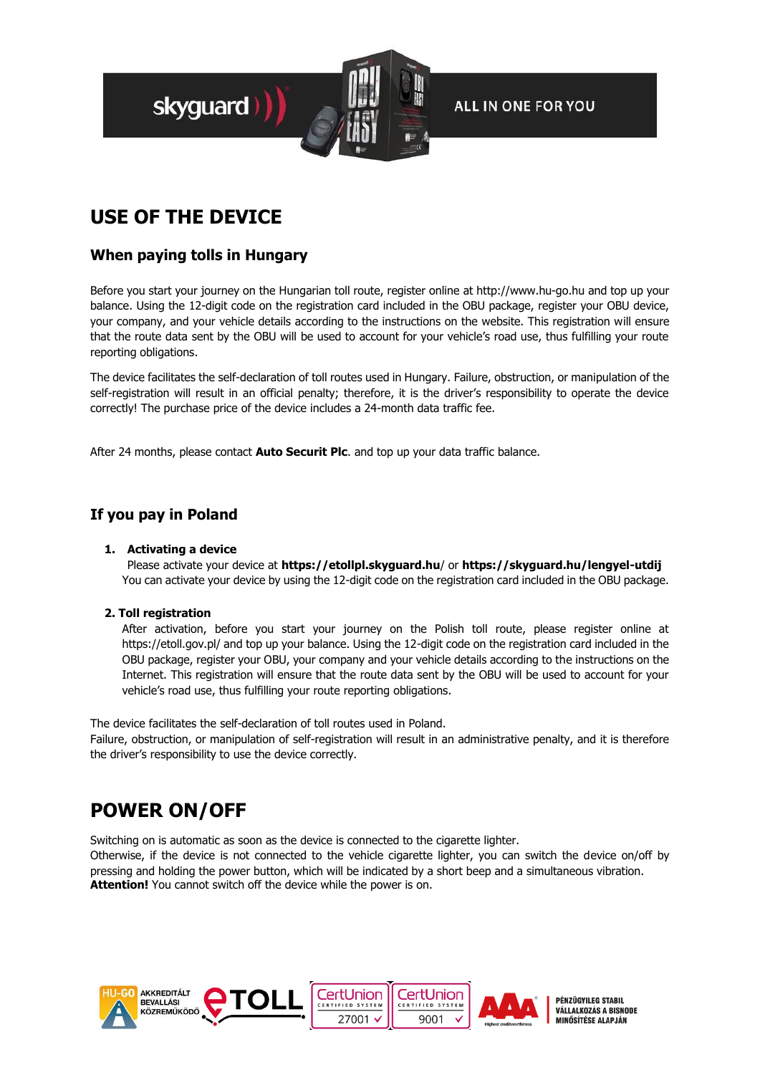

## **USE OF THE DEVICE**

#### **When paying tolls in Hungary**

Before you start your journey on the Hungarian toll route, register online at http://www.hu-go.hu and top up your balance. Using the 12-digit code on the registration card included in the OBU package, register your OBU device, your company, and your vehicle details according to the instructions on the website. This registration will ensure that the route data sent by the OBU will be used to account for your vehicle's road use, thus fulfilling your route reporting obligations.

The device facilitates the self-declaration of toll routes used in Hungary. Failure, obstruction, or manipulation of the self-registration will result in an official penalty; therefore, it is the driver's responsibility to operate the device correctly! The purchase price of the device includes a 24-month data traffic fee.

After 24 months, please contact **Auto Securit Plc**. and top up your data traffic balance.

#### **If you pay in Poland**

#### **1. Activating a device**

Please activate your device at **[https://etollpl.skyguard.hu](https://etollpl.skyguard.hu/)**/ or **<https://skyguard.hu/lengyel-utdij>** You can activate your device by using the 12-digit code on the registration card included in the OBU package.

#### **2. Toll registration**

After activation, before you start your journey on the Polish toll route, please register online at https://etoll.gov.pl/ and top up your balance. Using the 12-digit code on the registration card included in the OBU package, register your OBU, your company and your vehicle details according to the instructions on the Internet. This registration will ensure that the route data sent by the OBU will be used to account for your vehicle's road use, thus fulfilling your route reporting obligations.

The device facilitates the self-declaration of toll routes used in Poland.

Failure, obstruction, or manipulation of self-registration will result in an administrative penalty, and it is therefore the driver's responsibility to use the device correctly.

## **POWER ON/OFF**

Switching on is automatic as soon as the device is connected to the cigarette lighter.

Otherwise, if the device is not connected to the vehicle cigarette lighter, you can switch the device on/off by pressing and holding the power button, which will be indicated by a short beep and a simultaneous vibration. **Attention!** You cannot switch off the device while the power is on.





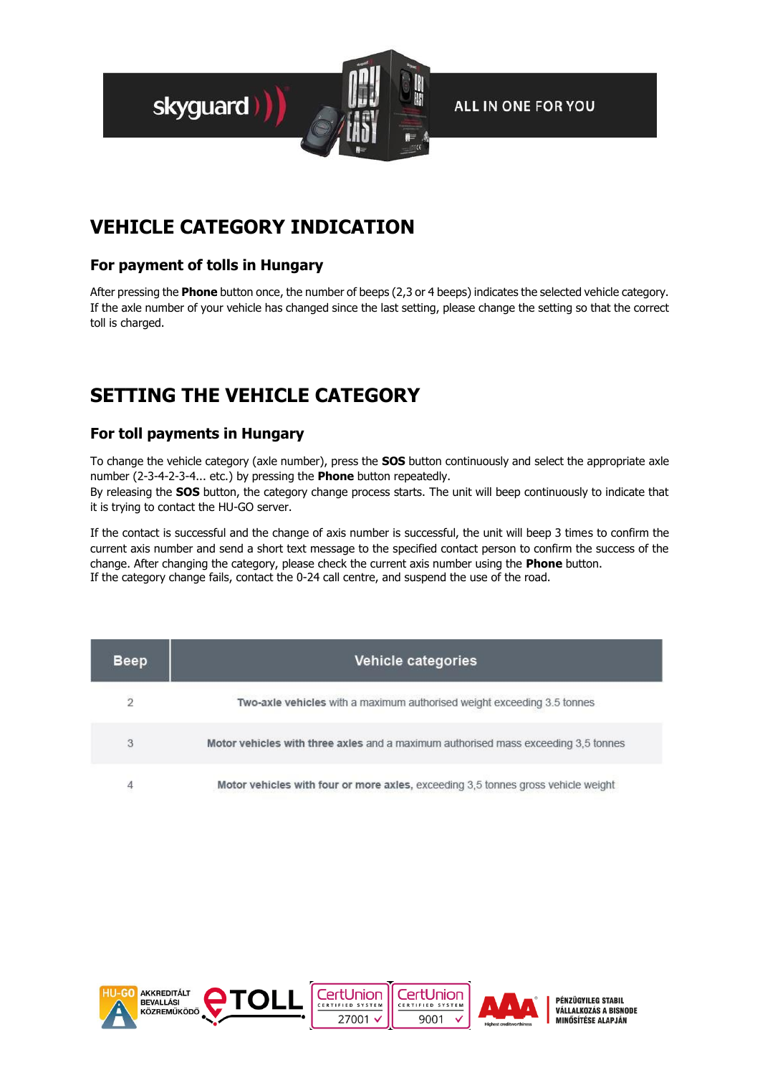

## **VEHICLE CATEGORY INDICATION**

#### **For payment of tolls in Hungary**

After pressing the **Phone** button once, the number of beeps (2,3 or 4 beeps) indicates the selected vehicle category. If the axle number of your vehicle has changed since the last setting, please change the setting so that the correct toll is charged.

## **SETTING THE VEHICLE CATEGORY**

#### **For toll payments in Hungary**

To change the vehicle category (axle number), press the **SOS** button continuously and select the appropriate axle number (2-3-4-2-3-4... etc.) by pressing the **Phone** button repeatedly. By releasing the **SOS** button, the category change process starts. The unit will beep continuously to indicate that it is trying to contact the HU-GO server.

If the contact is successful and the change of axis number is successful, the unit will beep 3 times to confirm the current axis number and send a short text message to the specified contact person to confirm the success of the change. After changing the category, please check the current axis number using the **Phone** button. If the category change fails, contact the 0-24 call centre, and suspend the use of the road.

| <b>Beep</b>    | Vehicle categories                                                                 |
|----------------|------------------------------------------------------------------------------------|
| $\overline{2}$ | Two-axle vehicles with a maximum authorised weight exceeding 3.5 tonnes            |
| 3              | Motor vehicles with three axles and a maximum authorised mass exceeding 3.5 tonnes |
| 4              | Motor vehicles with four or more axles, exceeding 3.5 tonnes gross vehicle weight  |

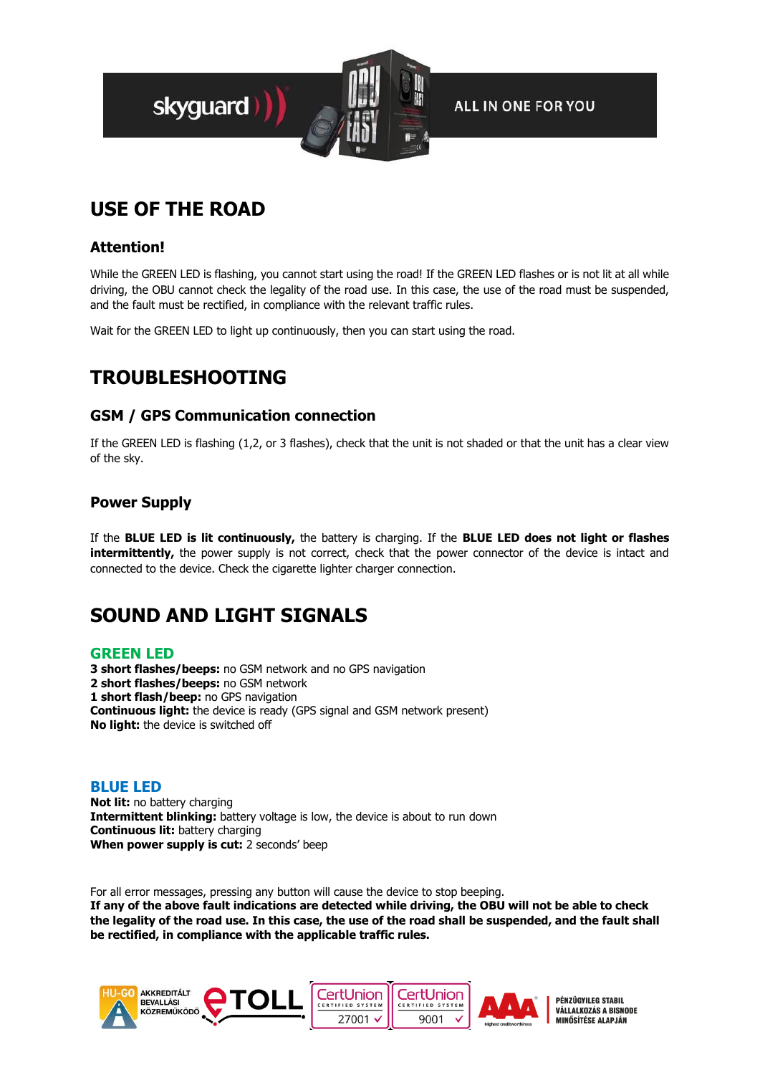

## **USE OF THE ROAD**

#### **Attention!**

While the GREEN LED is flashing, you cannot start using the road! If the GREEN LED flashes or is not lit at all while driving, the OBU cannot check the legality of the road use. In this case, the use of the road must be suspended, and the fault must be rectified, in compliance with the relevant traffic rules.

Wait for the GREEN LED to light up continuously, then you can start using the road.

## **TROUBLESHOOTING**

#### **GSM / GPS Communication connection**

If the GREEN LED is flashing (1,2, or 3 flashes), check that the unit is not shaded or that the unit has a clear view of the sky.

#### **Power Supply**

If the **BLUE LED is lit continuously,** the battery is charging. If the **BLUE LED does not light or flashes intermittently,** the power supply is not correct, check that the power connector of the device is intact and connected to the device. Check the cigarette lighter charger connection.

### **SOUND AND LIGHT SIGNALS**

#### **GREEN LED**

**3 short flashes/beeps:** no GSM network and no GPS navigation **2 short flashes/beeps:** no GSM network **1 short flash/beep:** no GPS navigation **Continuous light:** the device is ready (GPS signal and GSM network present) **No light:** the device is switched off

#### **BLUE LED**

**Not lit:** no battery charging **Intermittent blinking:** battery voltage is low, the device is about to run down **Continuous lit:** battery charging **When power supply is cut:** 2 seconds' beep

For all error messages, pressing any button will cause the device to stop beeping. **If any of the above fault indications are detected while driving, the OBU will not be able to check the legality of the road use. In this case, the use of the road shall be suspended, and the fault shall be rectified, in compliance with the applicable traffic rules.**